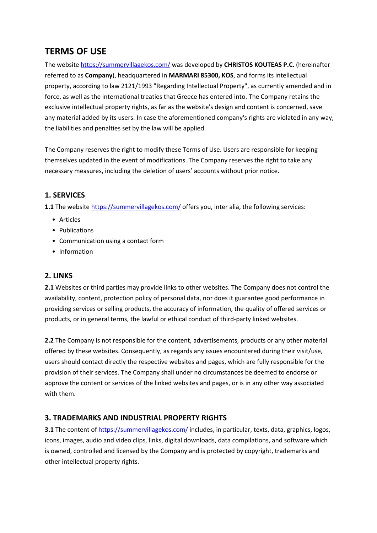# **TERMS OF USE**

The website <https://summervillagekos.com/> was developed by **CHRISTOS KOUTEAS P.C.** (hereinafter referred to as **Company**), headquartered in **MARMARI 85300, KOS**, and forms its intellectual property, according to law 2121/1993 "Regarding Intellectual Property", as currently amended and in force, as well as the international treaties that Greece has entered into. The Company retains the exclusive intellectual property rights, as far as the website's design and content is concerned, save any material added by its users. In case the aforementioned company's rights are violated in any way, the liabilities and penalties set by the law will be applied.

The Company reserves the right to modify these Terms of Use. Users are responsible for keeping themselves updated in the event of modifications. The Company reserves the right to take any necessary measures, including the deletion of users' accounts without prior notice.

## **1. SERVICES**

**1.1** The website <https://summervillagekos.com/> offers [you](https://anaimaktispondylodesia.gr/), inter alia, the following services:

- Articles
- Publications
- Communication using a contact form
- Information

## **2. LINKS**

**2.1** Websites or third parties may provide links to other websites. The Company does not control the availability, content, protection policy of personal data, nor does it guarantee good performance in providing services or selling products, the accuracy of information, the quality of offered services or products, or in general terms, the lawful or ethical conduct of third-party linked websites.

**2.2** The Company is not responsible for the content, advertisements, products or any other material offered by these websites. Consequently, as regards any issues encountered during their visit/use, users should contact directly the respective websites and pages, which are fully responsible for the provision of their services. The Company shall under no circumstances be deemed to endorse or approve the content or services of the linked websites and pages, or is in any other way associated with them.

## **3. TRADEMARKS AND INDUSTRIAL PROPERTY RIGHTS**

**3.1** The content of <https://summervillagekos.com/> includes, in particular, texts, data, graphics, logos, icons, images, audio and video clips, links, digital downloads, data compilations, and software which is owned, controlled and licensed by the Company and is protected by copyright, trademarks and other intellectual property rights.